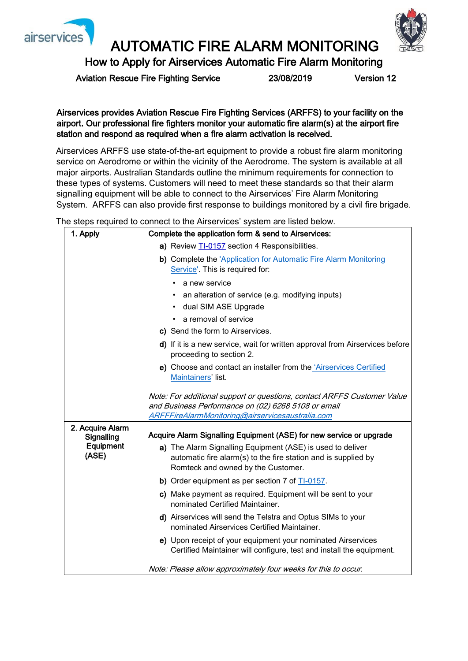



## AUTOMATIC FIRE ALARM MONITORING

How to Apply for Airservices Automatic Fire Alarm Monitoring

Aviation Rescue Fire Fighting Service 23/08/2019 Version 12

Airservices provides Aviation Rescue Fire Fighting Services (ARFFS) to your facility on the airport. Our professional fire fighters monitor your automatic fire alarm(s) at the airport fire station and respond as required when a fire alarm activation is received.

Airservices ARFFS use state-of-the-art equipment to provide a robust fire alarm monitoring service on Aerodrome or within the vicinity of the Aerodrome. The system is available at all major airports. Australian Standards outline the minimum requirements for connection to these types of systems. Customers will need to meet these standards so that their alarm signalling equipment will be able to connect to the Airservices' Fire Alarm Monitoring System. ARFFS can also provide first response to buildings monitored by a civil fire brigade.

The steps required to connect to the Airservices' system are listed below.

| 1. Apply                                             | Complete the application form & send to Airservices:                                                                                                               |
|------------------------------------------------------|--------------------------------------------------------------------------------------------------------------------------------------------------------------------|
|                                                      | a) Review TI-0157 section 4 Responsibilities.                                                                                                                      |
|                                                      | b) Complete the 'Application for Automatic Fire Alarm Monitoring<br>Service'. This is required for:                                                                |
|                                                      | a new service                                                                                                                                                      |
|                                                      | an alteration of service (e.g. modifying inputs)                                                                                                                   |
|                                                      | dual SIM ASE Upgrade                                                                                                                                               |
|                                                      | a removal of service                                                                                                                                               |
|                                                      | c) Send the form to Airservices.                                                                                                                                   |
|                                                      | d) If it is a new service, wait for written approval from Airservices before<br>proceeding to section 2.                                                           |
|                                                      | e) Choose and contact an installer from the 'Airservices Certified<br>Maintainers' list.                                                                           |
|                                                      | Note: For additional support or questions, contact ARFFS Customer Value<br>and Business Performance on (02) 6268 5108 or email                                     |
|                                                      | ARFFFireAlarmMonitoring@airservicesaustralia.com                                                                                                                   |
| 2. Acquire Alarm<br>Signalling<br>Equipment<br>(ASE) | Acquire Alarm Signalling Equipment (ASE) for new service or upgrade                                                                                                |
|                                                      | a) The Alarm Signalling Equipment (ASE) is used to deliver<br>automatic fire alarm(s) to the fire station and is supplied by<br>Romteck and owned by the Customer. |
|                                                      | b) Order equipment as per section 7 of TI-0157.                                                                                                                    |
|                                                      | c) Make payment as required. Equipment will be sent to your<br>nominated Certified Maintainer.                                                                     |
|                                                      | d) Airservices will send the Telstra and Optus SIMs to your<br>nominated Airservices Certified Maintainer.                                                         |
|                                                      | e) Upon receipt of your equipment your nominated Airservices<br>Certified Maintainer will configure, test and install the equipment.                               |
|                                                      | Note: Please allow approximately four weeks for this to occur.                                                                                                     |